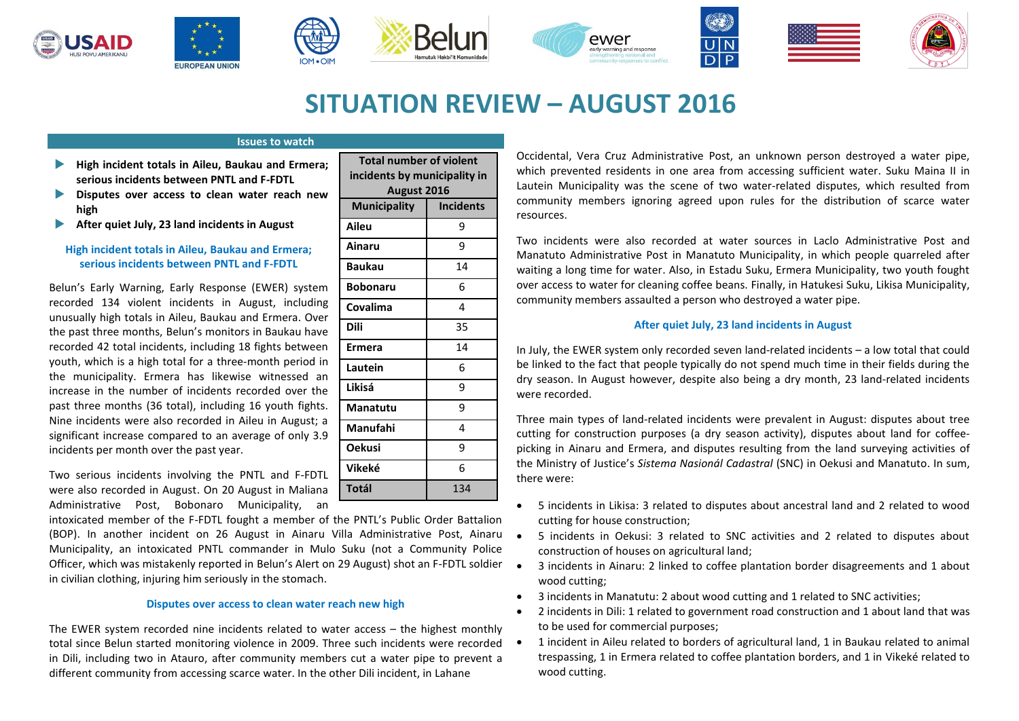











# **SITUATION REVIEW – AUGUST 2016**

# **Issues to watch**

**IOM .OIN** 

- **High incident totals in Aileu, Baukau and Ermera; serious incidents between PNTL and F-FDTL**
- **Disputes over access to clean water reach new high**
- **After quiet July, 23 land incidents in August**

# **High incident totals in Aileu, Baukau and Ermera; serious incidents between PNTL and F-FDTL**

Belun's Early Warning, Early Response (EWER) system recorded 134 violent incidents in August, including unusually high totals in Aileu, Baukau and Ermera. Over the past three months, Belun's monitors in Baukau have recorded 42 total incidents, including 18 fights between youth, which is a high total for a three-month period in the municipality. Ermera has likewise witnessed an increase in the number of incidents recorded over the past three months (36 total), including 16 youth fights. Nine incidents were also recorded in Aileu in August; a significant increase compared to an average of only 3.9 incidents per month over the past year.

Two serious incidents involving the PNTL and F-FDTL were also recorded in August. On 20 August in Maliana Administrative Post, Bobonaro Municipality, an

intoxicated member of the F-FDTL fought a member of the PNTL's Public Order Battalion (BOP). In another incident on 26 August in Ainaru Villa Administrative Post, Ainaru Municipality, an intoxicated PNTL commander in Mulo Suku (not a Community Police Officer, which was mistakenly reported in Belun's Alert on 29 August) shot an F-FDTL soldier in civilian clothing, injuring him seriously in the stomach.

## **Disputes over access to clean water reach new high**

The EWER system recorded nine incidents related to water access – the highest monthly total since Belun started monitoring violence in 2009. Three such incidents were recorded • in Dili, including two in Atauro, after community members cut a water pipe to prevent a different community from accessing scarce water. In the other Dili incident, in Lahane

| <b>Total number of violent</b><br>incidents by municipality in |                  |
|----------------------------------------------------------------|------------------|
|                                                                |                  |
| <b>Municipality</b>                                            | <b>Incidents</b> |
| Aileu                                                          | 9                |
| Ainaru                                                         | 9                |
| Baukau                                                         | 14               |
| <b>Bobonaru</b>                                                | 6                |
| Covalima                                                       | 4                |
| Dili                                                           | 35               |
| Ermera                                                         | 14               |
| Lautein                                                        | 6                |
| Likisá                                                         | 9                |
| Manatutu                                                       | 9                |
| Manufahi                                                       | 4                |
| <b>Oekusi</b>                                                  | 9                |
| Vikeké                                                         | 6                |
| Totál                                                          | 134              |

Occidental, Vera Cruz Administrative Post, an unknown person destroyed a water pipe, which prevented residents in one area from accessing sufficient water. Suku Maina II in Lautein Municipality was the scene of two water-related disputes, which resulted from community members ignoring agreed upon rules for the distribution of scarce water resources.

Two incidents were also recorded at water sources in Laclo Administrative Post and Manatuto Administrative Post in Manatuto Municipality, in which people quarreled after waiting a long time for water. Also, in Estadu Suku, Ermera Municipality, two youth fought over access to water for cleaning coffee beans. Finally, in Hatukesi Suku, Likisa Municipality, community members assaulted a person who destroyed a water pipe.

# **After quiet July, 23 land incidents in August**

In July, the EWER system only recorded seven land-related incidents – a low total that could be linked to the fact that people typically do not spend much time in their fields during the dry season. In August however, despite also being a dry month, 23 land-related incidents were recorded.

Three main types of land-related incidents were prevalent in August: disputes about tree cutting for construction purposes (a dry season activity), disputes about land for coffeepicking in Ainaru and Ermera, and disputes resulting from the land surveying activities of the Ministry of Justice's *Sistema Nasionál Cadastral* (SNC) in Oekusi and Manatuto. In sum, there were:

- 5 incidents in Likisa: 3 related to disputes about ancestral land and 2 related to wood cutting for house construction;
- 5 incidents in Oekusi: 3 related to SNC activities and 2 related to disputes about construction of houses on agricultural land;
- 3 incidents in Ainaru: 2 linked to coffee plantation border disagreements and 1 about wood cutting;
- 3 incidents in Manatutu: 2 about wood cutting and 1 related to SNC activities;
- 2 incidents in Dili: 1 related to government road construction and 1 about land that was to be used for commercial purposes;
- 1 incident in Aileu related to borders of agricultural land, 1 in Baukau related to animal trespassing, 1 in Ermera related to coffee plantation borders, and 1 in Vikeké related to wood cutting.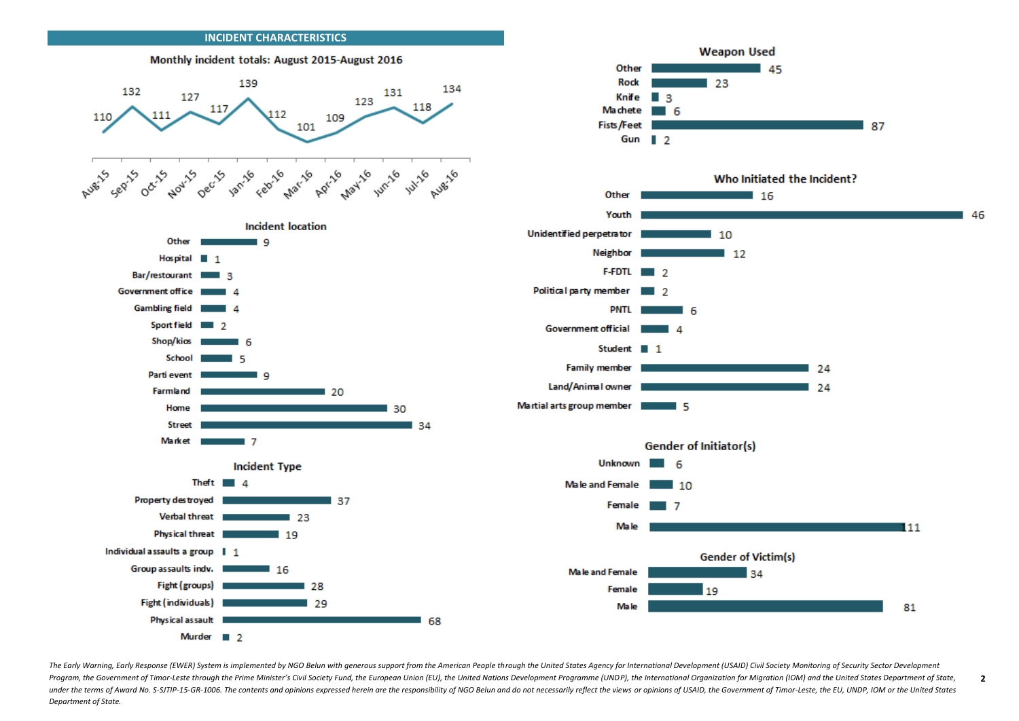

The Early Warning, Early Response (EWER) System is implemented by NGO Belun with generous support from the American People through the United States Agency for International Development (USAID) Civil Society Monitoring of Program, the Government of Timor-Leste through the Prime Minister's Civil Society Fund, the European Union (EU), the United Nations Development Programme (UNDP), the International Organization for Migration (IOM) and the U under the terms of Award No. S-SJTIP-15-GR-1006. The contents and opinions expressed herein are the responsibility of NGO Belun and do not necessarily reflect the views or opinions of USAID, the Government of Timor-Leste, *Department of State.* 

**2**